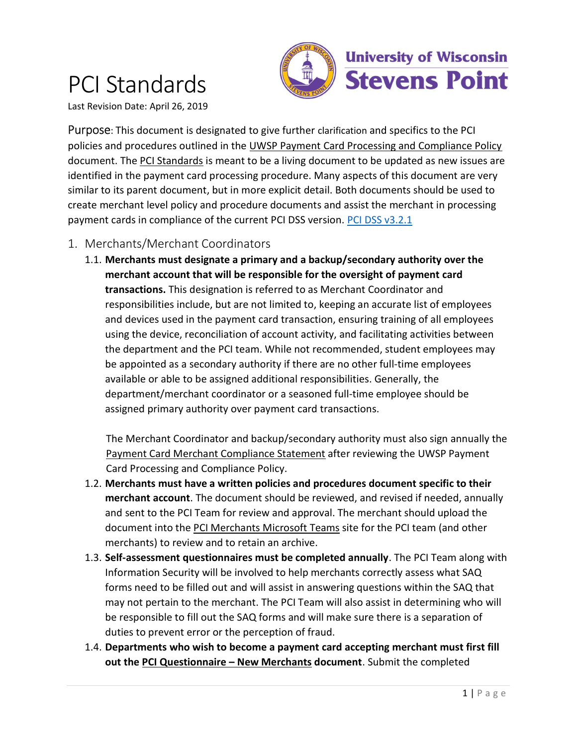# PCI Standards



Last Revision Date: April 26, 2019

Purpose: This document is designated to give further clarification and specifics to the PCI policies and procedures outlined in the UWSP Payment Card Processing and Compliance Policy document. The PCI Standards is meant to be a living document to be updated as new issues are identified in the payment card processing procedure. Many aspects of this document are very similar to its parent document, but in more explicit detail. Both documents should be used to create merchant level policy and procedure documents and assist the merchant in processing payment cards in compliance of the current PCI DSS version. PCI DSS v3.2.1

- 1. Merchants/Merchant Coordinators
	- 1.1. Merchants must designate a primary and a backup/secondary authority over the merchant account that will be responsible for the oversight of payment card transactions. This designation is referred to as Merchant Coordinator and responsibilities include, but are not limited to, keeping an accurate list of employees and devices used in the payment card transaction, ensuring training of all employees using the device, reconciliation of account activity, and facilitating activities between the department and the PCI team. While not recommended, student employees may be appointed as a secondary authority if there are no other full-time employees available or able to be assigned additional responsibilities. Generally, the department/merchant coordinator or a seasoned full-time employee should be assigned primary authority over payment card transactions.

The Merchant Coordinator and backup/secondary authority must also sign annually the Payment Card Merchant Compliance Statement after reviewing the UWSP Payment Card Processing and Compliance Policy.

- 1.2. Merchants must have a written policies and procedures document specific to their merchant account. The document should be reviewed, and revised if needed, annually and sent to the PCI Team for review and approval. The merchant should upload the document into the PCI Merchants Microsoft Teams site for the PCI team (and other merchants) to review and to retain an archive.
- 1.3. Self-assessment questionnaires must be completed annually. The PCI Team along with Information Security will be involved to help merchants correctly assess what SAQ forms need to be filled out and will assist in answering questions within the SAQ that may not pertain to the merchant. The PCI Team will also assist in determining who will be responsible to fill out the SAQ forms and will make sure there is a separation of duties to prevent error or the perception of fraud.
- 1.4. Departments who wish to become a payment card accepting merchant must first fill out the PCI Questionnaire – New Merchants document. Submit the completed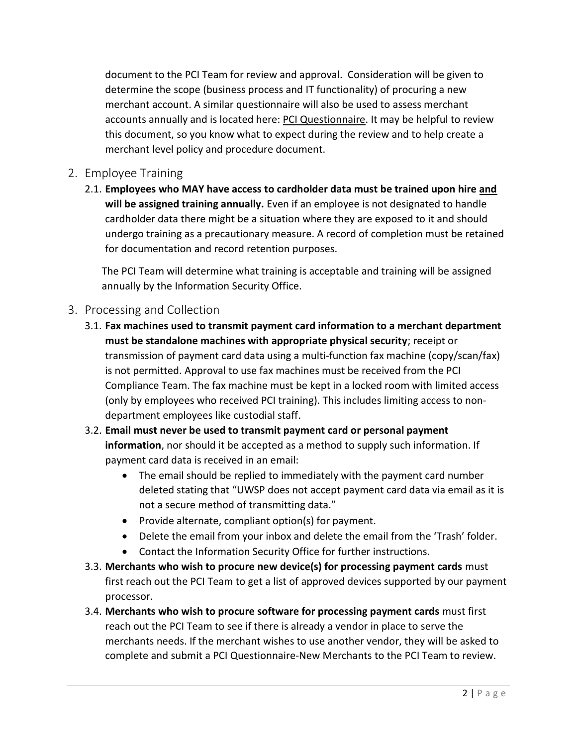document to the PCI Team for review and approval. Consideration will be given to determine the scope (business process and IT functionality) of procuring a new merchant account. A similar questionnaire will also be used to assess merchant accounts annually and is located here: PCI Questionnaire. It may be helpful to review this document, so you know what to expect during the review and to help create a merchant level policy and procedure document.

### 2. Employee Training

2.1. Employees who MAY have access to cardholder data must be trained upon hire and will be assigned training annually. Even if an employee is not designated to handle cardholder data there might be a situation where they are exposed to it and should undergo training as a precautionary measure. A record of completion must be retained for documentation and record retention purposes.

The PCI Team will determine what training is acceptable and training will be assigned annually by the Information Security Office.

#### 3. Processing and Collection

3.1. Fax machines used to transmit payment card information to a merchant department must be standalone machines with appropriate physical security; receipt or transmission of payment card data using a multi-function fax machine (copy/scan/fax) is not permitted. Approval to use fax machines must be received from the PCI Compliance Team. The fax machine must be kept in a locked room with limited access (only by employees who received PCI training). This includes limiting access to nondepartment employees like custodial staff.

## 3.2. Email must never be used to transmit payment card or personal payment information, nor should it be accepted as a method to supply such information. If payment card data is received in an email:

- The email should be replied to immediately with the payment card number deleted stating that "UWSP does not accept payment card data via email as it is not a secure method of transmitting data."
- Provide alternate, compliant option(s) for payment.
- Delete the email from your inbox and delete the email from the 'Trash' folder.
- Contact the Information Security Office for further instructions.
- 3.3. Merchants who wish to procure new device(s) for processing payment cards must first reach out the PCI Team to get a list of approved devices supported by our payment processor.
- 3.4. Merchants who wish to procure software for processing payment cards must first reach out the PCI Team to see if there is already a vendor in place to serve the merchants needs. If the merchant wishes to use another vendor, they will be asked to complete and submit a PCI Questionnaire-New Merchants to the PCI Team to review.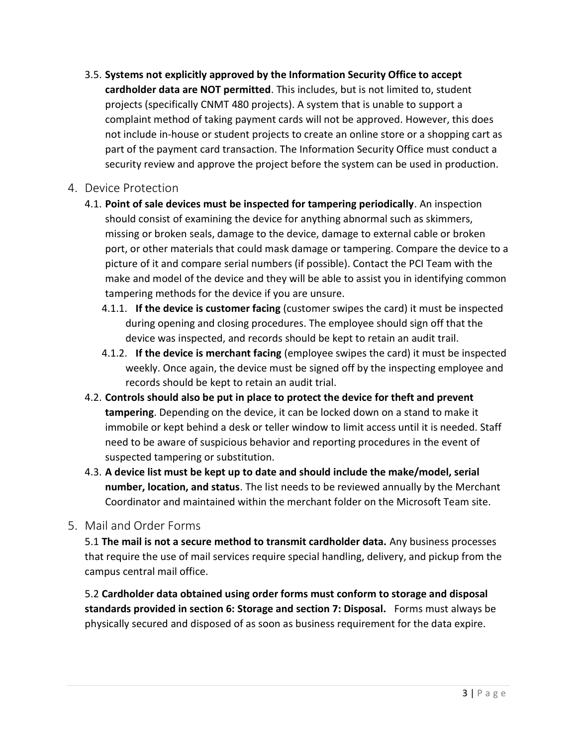3.5. Systems not explicitly approved by the Information Security Office to accept cardholder data are NOT permitted. This includes, but is not limited to, student projects (specifically CNMT 480 projects). A system that is unable to support a complaint method of taking payment cards will not be approved. However, this does not include in-house or student projects to create an online store or a shopping cart as part of the payment card transaction. The Information Security Office must conduct a security review and approve the project before the system can be used in production.

#### 4. Device Protection

- 4.1. Point of sale devices must be inspected for tampering periodically. An inspection should consist of examining the device for anything abnormal such as skimmers, missing or broken seals, damage to the device, damage to external cable or broken port, or other materials that could mask damage or tampering. Compare the device to a picture of it and compare serial numbers (if possible). Contact the PCI Team with the make and model of the device and they will be able to assist you in identifying common tampering methods for the device if you are unsure.
	- 4.1.1. If the device is customer facing (customer swipes the card) it must be inspected during opening and closing procedures. The employee should sign off that the device was inspected, and records should be kept to retain an audit trail.
	- 4.1.2. If the device is merchant facing (employee swipes the card) it must be inspected weekly. Once again, the device must be signed off by the inspecting employee and records should be kept to retain an audit trial.
- 4.2. Controls should also be put in place to protect the device for theft and prevent tampering. Depending on the device, it can be locked down on a stand to make it immobile or kept behind a desk or teller window to limit access until it is needed. Staff need to be aware of suspicious behavior and reporting procedures in the event of suspected tampering or substitution.
- 4.3. A device list must be kept up to date and should include the make/model, serial number, location, and status. The list needs to be reviewed annually by the Merchant Coordinator and maintained within the merchant folder on the Microsoft Team site.
- 5. Mail and Order Forms

5.1 The mail is not a secure method to transmit cardholder data. Any business processes that require the use of mail services require special handling, delivery, and pickup from the campus central mail office.

5.2 Cardholder data obtained using order forms must conform to storage and disposal standards provided in section 6: Storage and section 7: Disposal. Forms must always be physically secured and disposed of as soon as business requirement for the data expire.